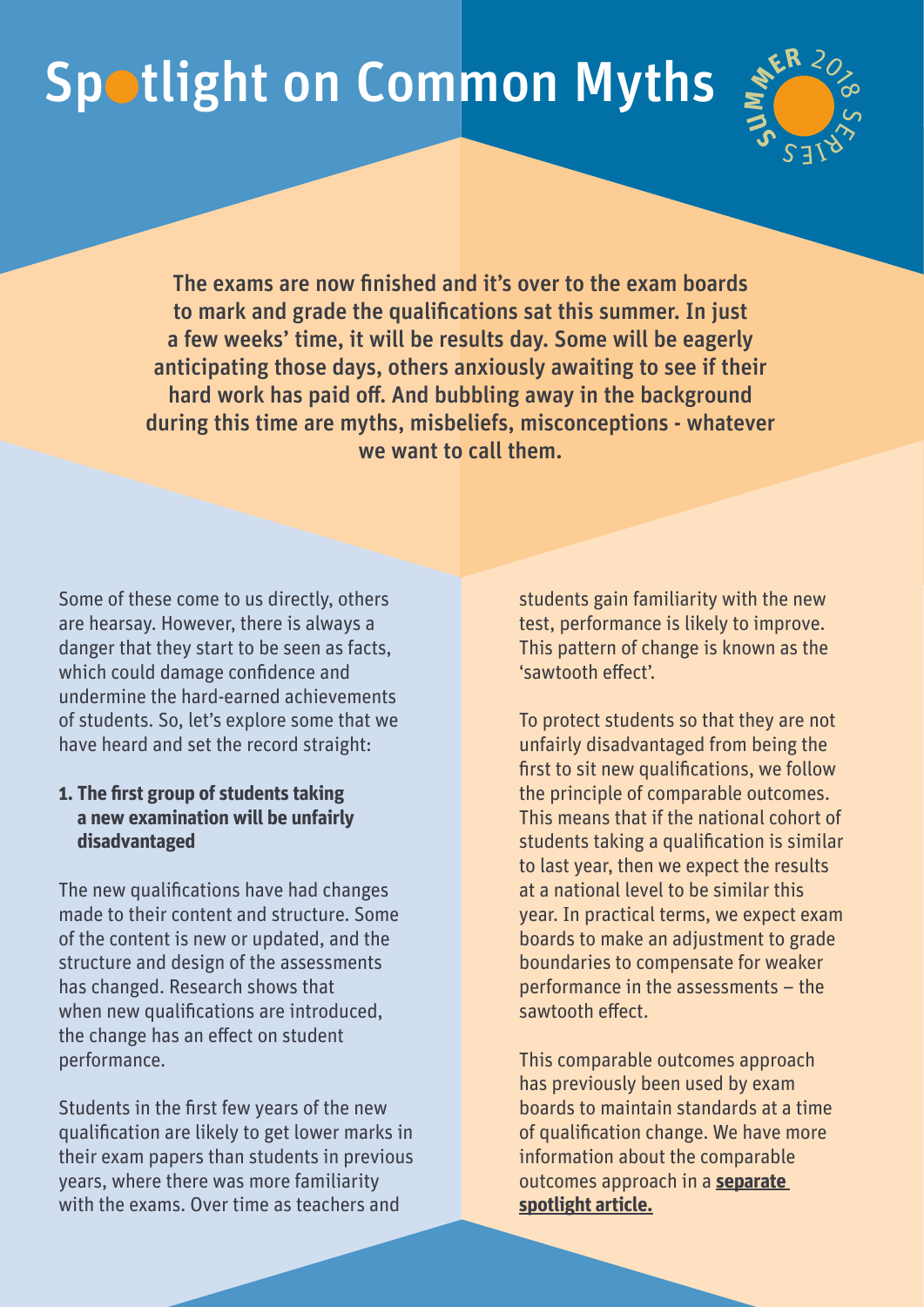# Spotlight on Common Myths



The exams are now finished and it's over to the exam boards to mark and grade the qualifications sat this summer. In just a few weeks' time, it will be results day. Some will be eagerly anticipating those days, others anxiously awaiting to see if their hard work has paid off. And bubbling away in the background during this time are myths, misbeliefs, misconceptions - whatever we want to call them.

Some of these come to us directly, others are hearsay. However, there is always a danger that they start to be seen as facts, which could damage confidence and undermine the hard-earned achievements of students. So, let's explore some that we have heard and set the record straight:

### **1. The first group of students taking a new examination will be unfairly disadvantaged**

The new qualifications have had changes made to their content and structure. Some of the content is new or updated, and the structure and design of the assessments has changed. Research shows that when new qualifications are introduced, the change has an effect on student performance.

Students in the first few years of the new qualification are likely to get lower marks in their exam papers than students in previous years, where there was more familiarity with the exams. Over time as teachers and

students gain familiarity with the new test, performance is likely to improve. This pattern of change is known as the 'sawtooth effect'.

To protect students so that they are not unfairly disadvantaged from being the first to sit new qualifications, we follow the principle of comparable outcomes. This means that if the national cohort of students taking a qualification is similar to last year, then we expect the results at a national level to be similar this year. In practical terms, we expect exam boards to make an adjustment to grade boundaries to compensate for weaker performance in the assessments – the sawtooth effect.

This comparable outcomes approach has previously been used by exam boards to maintain standards at a time of qualification change. We have more information about the comparable outcomes approach in a **[separate](http://qualificationswales.org/media/3543/spotlight-on-comparable-outcomes.pdf)  [spotlight article.](http://qualificationswales.org/media/3543/spotlight-on-comparable-outcomes.pdf)**